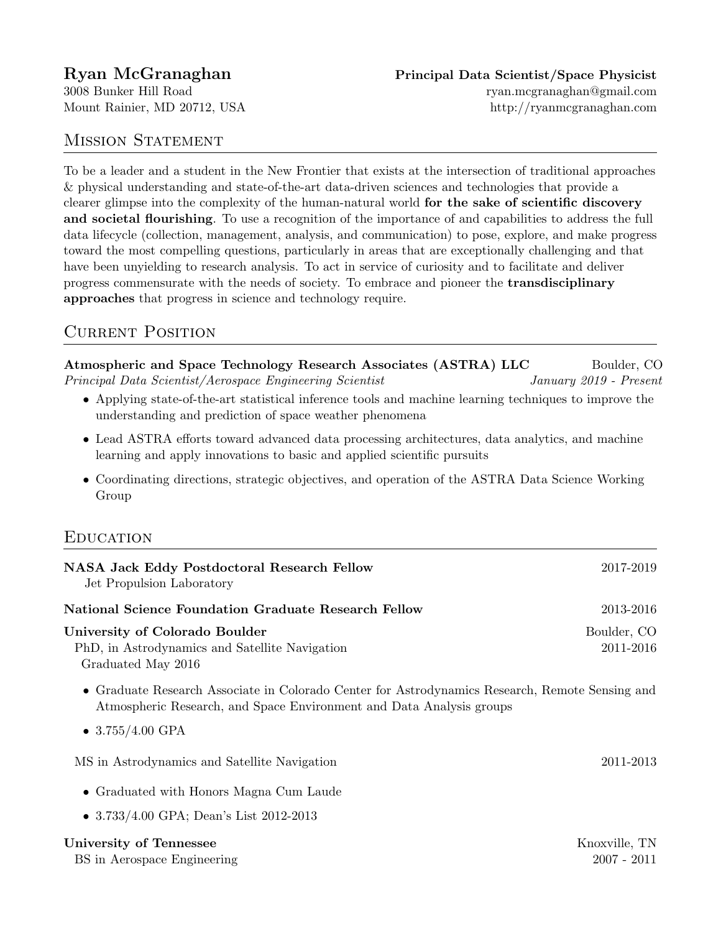Mount Rainier, MD 20712, USA http://ryanmcgranaghan.com

### MISSION STATEMENT

To be a leader and a student in the New Frontier that exists at the intersection of traditional approaches & physical understanding and state-of-the-art data-driven sciences and technologies that provide a clearer glimpse into the complexity of the human-natural world for the sake of scientific discovery and societal flourishing. To use a recognition of the importance of and capabilities to address the full data lifecycle (collection, management, analysis, and communication) to pose, explore, and make progress toward the most compelling questions, particularly in areas that are exceptionally challenging and that have been unyielding to research analysis. To act in service of curiosity and to facilitate and deliver progress commensurate with the needs of society. To embrace and pioneer the transdisciplinary approaches that progress in science and technology require.

# CURRENT POSITION

Atmospheric and Space Technology Research Associates (ASTRA) LLC Boulder, CO Principal Data Scientist/Aerospace Engineering Scientist January 2019 - Present • Applying state-of-the-art statistical inference tools and machine learning techniques to improve the understanding and prediction of space weather phenomena • Lead ASTRA efforts toward advanced data processing architectures, data analytics, and machine learning and apply innovations to basic and applied scientific pursuits • Coordinating directions, strategic objectives, and operation of the ASTRA Data Science Working Group

# **EDUCATION**

| <b>NASA Jack Eddy Postdoctoral Research Fellow</b><br>Jet Propulsion Laboratory                                                                                                               | 2017-2019                      |
|-----------------------------------------------------------------------------------------------------------------------------------------------------------------------------------------------|--------------------------------|
| <b>National Science Foundation Graduate Research Fellow</b>                                                                                                                                   | 2013-2016                      |
| University of Colorado Boulder<br>PhD, in Astrodynamics and Satellite Navigation<br>Graduated May 2016                                                                                        | Boulder, CO<br>2011-2016       |
| • Graduate Research Associate in Colorado Center for Astrodynamics Research, Remote Sensing and<br>Atmospheric Research, and Space Environment and Data Analysis groups<br>• $3.755/4.00$ GPA |                                |
| MS in Astrodynamics and Satellite Navigation                                                                                                                                                  | 2011-2013                      |
| • Graduated with Honors Magna Cum Laude                                                                                                                                                       |                                |
| • $3.733/4.00$ GPA; Dean's List 2012-2013                                                                                                                                                     |                                |
| University of Tennessee<br>BS in Aerospace Engineering                                                                                                                                        | Knoxville, TN<br>$2007 - 2011$ |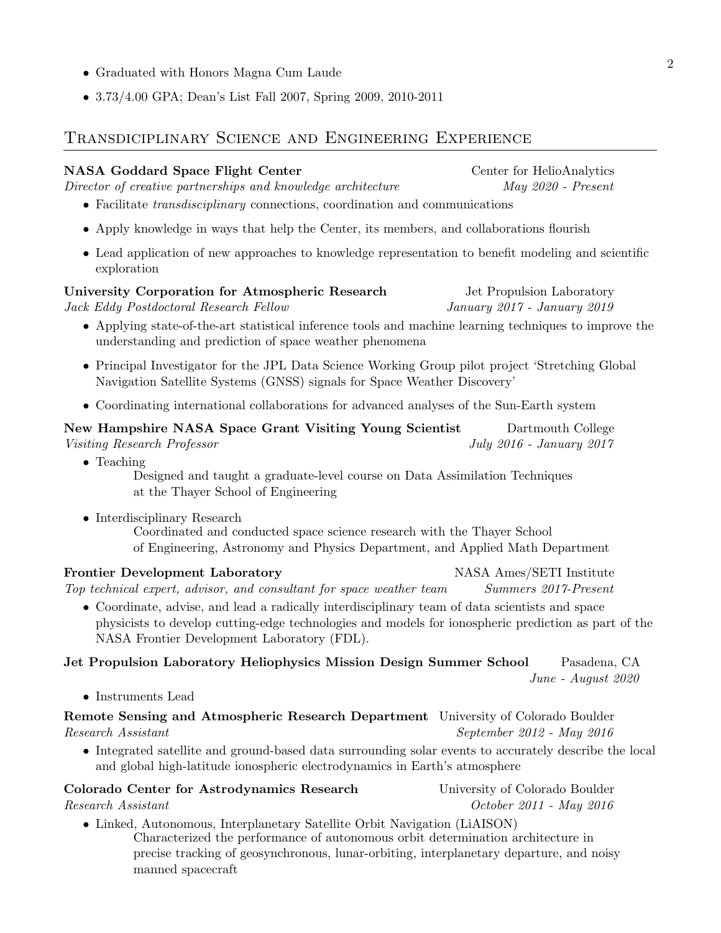- Graduated with Honors Magna Cum Laude
- 3.73/4.00 GPA; Dean's List Fall 2007, Spring 2009, 2010-2011

### Transdiciplinary Science and Engineering Experience

NASA Goddard Space Flight Center Center Center for HelioAnalytics Director of creative partnerships and knowledge architecture May 2020 - Present • Facilitate *transdisciplinary* connections, coordination and communications • Apply knowledge in ways that help the Center, its members, and collaborations flourish • Lead application of new approaches to knowledge representation to benefit modeling and scientific exploration University Corporation for Atmospheric Research Jet Propulsion Laboratory Jack Eddy Postdoctoral Research Fellow January 2017 - January 2019 • Applying state-of-the-art statistical inference tools and machine learning techniques to improve the understanding and prediction of space weather phenomena • Principal Investigator for the JPL Data Science Working Group pilot project 'Stretching Global Navigation Satellite Systems (GNSS) signals for Space Weather Discovery' • Coordinating international collaborations for advanced analyses of the Sun-Earth system New Hampshire NASA Space Grant Visiting Young Scientist Dartmouth College Visiting Research Professor July 2016 - January 2017 • Teaching Designed and taught a graduate-level course on Data Assimilation Techniques at the Thayer School of Engineering • Interdisciplinary Research Coordinated and conducted space science research with the Thayer School of Engineering, Astronomy and Physics Department, and Applied Math Department Frontier Development Laboratory NASA Ames/SETI Institute Top technical expert, advisor, and consultant for space weather team Summers 2017-Present • Coordinate, advise, and lead a radically interdisciplinary team of data scientists and space physicists to develop cutting-edge technologies and models for ionospheric prediction as part of the NASA Frontier Development Laboratory (FDL). Jet Propulsion Laboratory Heliophysics Mission Design Summer School Pasadena, CA June - August 2020 • Instruments Lead Remote Sensing and Atmospheric Research Department University of Colorado Boulder Research Assistant September 2012 - May 2016 • Integrated satellite and ground-based data surrounding solar events to accurately describe the local and global high-latitude ionospheric electrodynamics in Earth's atmosphere Colorado Center for Astrodynamics Research University of Colorado Boulder Research Assistant October 2011 - May 2016 • Linked, Autonomous, Interplanetary Satellite Orbit Navigation (LiAISON)

Characterized the performance of autonomous orbit determination architecture in precise tracking of geosynchronous, lunar-orbiting, interplanetary departure, and noisy manned spacecraft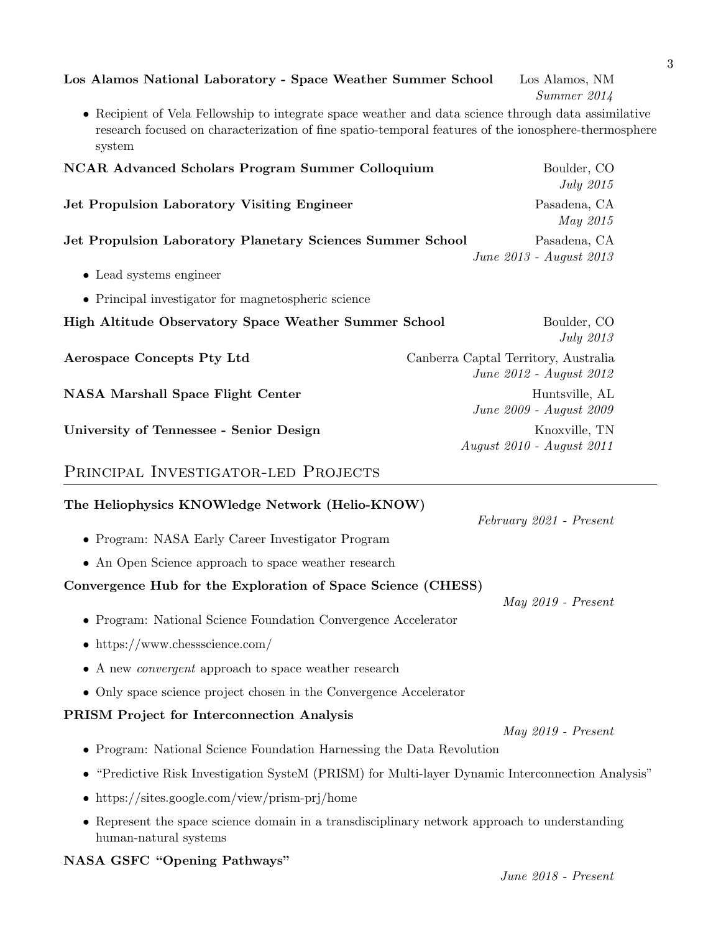| Los Alamos National Laboratory - Space Weather Summer School                                                                                                                                                           | Los Alamos, NM<br>Summer 2014                                   |
|------------------------------------------------------------------------------------------------------------------------------------------------------------------------------------------------------------------------|-----------------------------------------------------------------|
| • Recipient of Vela Fellowship to integrate space weather and data science through data assimilative<br>research focused on characterization of fine spatio-temporal features of the ionosphere-thermosphere<br>system |                                                                 |
| <b>NCAR Advanced Scholars Program Summer Colloquium</b>                                                                                                                                                                | Boulder, CO<br><i>July</i> 2015                                 |
| <b>Jet Propulsion Laboratory Visiting Engineer</b>                                                                                                                                                                     | Pasadena, CA<br>May 2015                                        |
| Jet Propulsion Laboratory Planetary Sciences Summer School                                                                                                                                                             | Pasadena, CA<br>June 2013 - August 2013                         |
| • Lead systems engineer                                                                                                                                                                                                |                                                                 |
| • Principal investigator for magnetospheric science                                                                                                                                                                    |                                                                 |
| High Altitude Observatory Space Weather Summer School                                                                                                                                                                  | Boulder, CO<br><b>July 2013</b>                                 |
| Aerospace Concepts Pty Ltd                                                                                                                                                                                             | Canberra Captal Territory, Australia<br>June 2012 - August 2012 |
| <b>NASA Marshall Space Flight Center</b>                                                                                                                                                                               | Huntsville, AL<br>June 2009 - August 2009                       |
| University of Tennessee - Senior Design                                                                                                                                                                                | Knoxville, TN<br>August 2010 - August 2011                      |
| PRINCIPAL INVESTIGATOR-LED PROJECTS                                                                                                                                                                                    |                                                                 |

# The Heliophysics KNOWledge Network (Helio-KNOW)

- Program: NASA Early Career Investigator Program
- An Open Science approach to space weather research

#### Convergence Hub for the Exploration of Space Science (CHESS)

- Program: National Science Foundation Convergence Accelerator
- https://www.chessscience.com/
- A new *convergent* approach to space weather research
- Only space science project chosen in the Convergence Accelerator

# PRISM Project for Interconnection Analysis

- Program: National Science Foundation Harnessing the Data Revolution
- "Predictive Risk Investigation SysteM (PRISM) for Multi-layer Dynamic Interconnection Analysis"
- https://sites.google.com/view/prism-prj/home
- Represent the space science domain in a transdisciplinary network approach to understanding human-natural systems

# NASA GSFC "Opening Pathways"

May 2019 - Present

May 2019 - Present

February 2021 - Present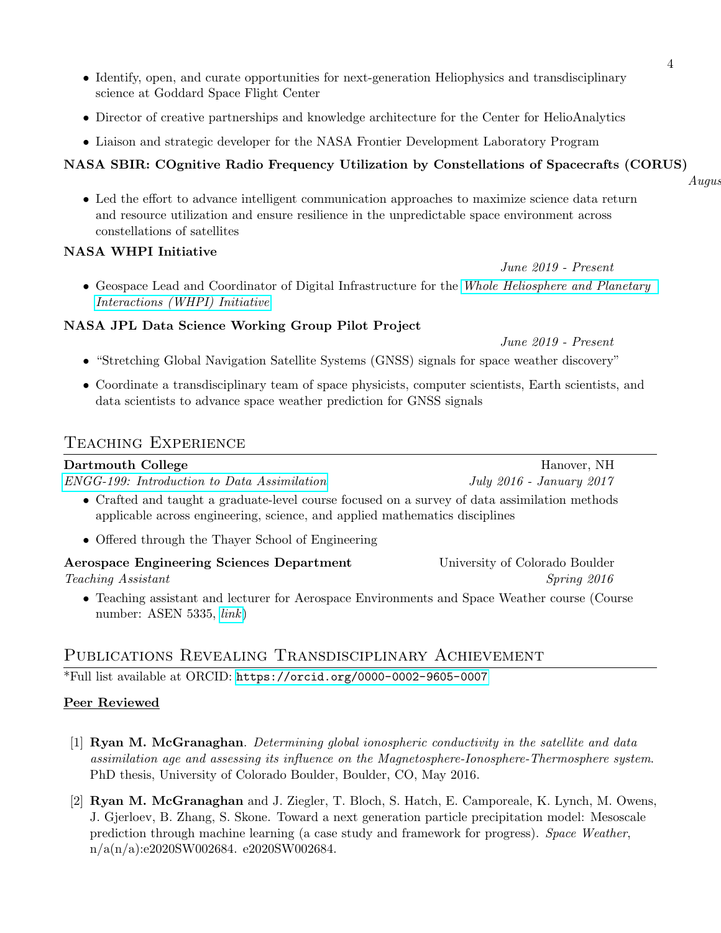- Identify, open, and curate opportunities for next-generation Heliophysics and transdisciplinary science at Goddard Space Flight Center
- Director of creative partnerships and knowledge architecture for the Center for HelioAnalytics
- Liaison and strategic developer for the NASA Frontier Development Laboratory Program

# NASA SBIR: COgnitive Radio Frequency Utilization by Constellations of Spacecrafts (CORUS)

• Led the effort to advance intelligent communication approaches to maximize science data return and resource utilization and ensure resilience in the unpredictable space environment across constellations of satellites

# NASA WHPI Initiative

• Geospace Lead and Coordinator of Digital Infrastructure for the [Whole Heliosphere and Planetary](https://whpi.hao.ucar.edu/) [Interactions \(WHPI\) Initiative](https://whpi.hao.ucar.edu/)

# NASA JPL Data Science Working Group Pilot Project

June 2019 - Present

- "Stretching Global Navigation Satellite Systems (GNSS) signals for space weather discovery"
- Coordinate a transdisciplinary team of space physicists, computer scientists, Earth scientists, and data scientists to advance space weather prediction for GNSS signals

# Teaching Experience

# Dartmouth College Hanover, NH [ENGG-199: Introduction to Data Assimilation](https://engineering.dartmouth.edu/academics/courses/engg199-01/) July 2016 - January 2017 • Crafted and taught a graduate-level course focused on a survey of data assimilation methods applicable across engineering, science, and applied mathematics disciplines

- Offered through the Thayer School of Engineering
- Aerospace Engineering Sciences Department University of Colorado Boulder Teaching Assistant Spring 2016

• Teaching assistant and lecturer for Aerospace Environments and Space Weather course (Course number: ASEN 5335, *[link](http://www.colorado.edu/connect/course/101495)*)

# Publications Revealing Transdisciplinary Achievement

\*Full list available at ORCID: <https://orcid.org/0000-0002-9605-0007>

# Peer Reviewed

- [1] Ryan M. McGranaghan. Determining global ionospheric conductivity in the satellite and data assimilation age and assessing its influence on the Magnetosphere-Ionosphere-Thermosphere system. PhD thesis, University of Colorado Boulder, Boulder, CO, May 2016.
- [2] Ryan M. McGranaghan and J. Ziegler, T. Bloch, S. Hatch, E. Camporeale, K. Lynch, M. Owens, J. Gjerloev, B. Zhang, S. Skone. Toward a next generation particle precipitation model: Mesoscale prediction through machine learning (a case study and framework for progress). Space Weather, n/a(n/a):e2020SW002684. e2020SW002684.

 $A uqus$ 

June 2019 - Present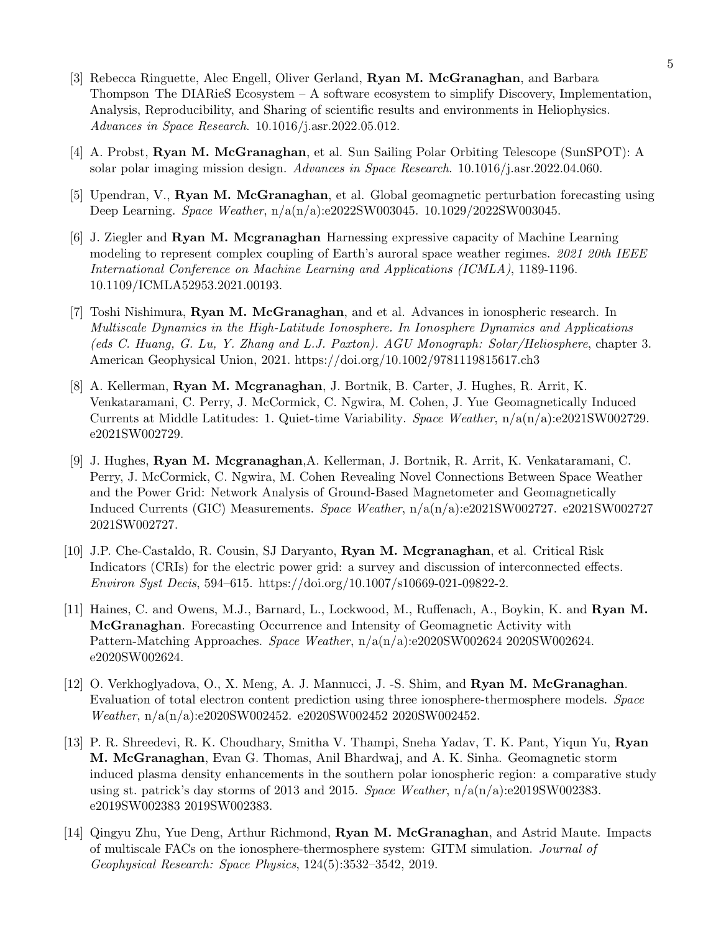- [3] Rebecca Ringuette, Alec Engell, Oliver Gerland, Ryan M. McGranaghan, and Barbara Thompson The DIARieS Ecosystem  $-$  A software ecosystem to simplify Discovery, Implementation, Analysis, Reproducibility, and Sharing of scientific results and environments in Heliophysics. Advances in Space Research. 10.1016/j.asr.2022.05.012.
- [4] A. Probst, Ryan M. McGranaghan, et al. Sun Sailing Polar Orbiting Telescope (SunSPOT): A solar polar imaging mission design. Advances in Space Research. 10.1016/j.asr.2022.04.060.
- [5] Upendran, V., Ryan M. McGranaghan, et al. Global geomagnetic perturbation forecasting using Deep Learning. Space Weather, n/a(n/a):e2022SW003045. 10.1029/2022SW003045.
- [6] J. Ziegler and Ryan M. Mcgranaghan Harnessing expressive capacity of Machine Learning modeling to represent complex coupling of Earth's auroral space weather regimes. 2021 20th IEEE International Conference on Machine Learning and Applications (ICMLA), 1189-1196. 10.1109/ICMLA52953.2021.00193.
- [7] Toshi Nishimura, Ryan M. McGranaghan, and et al. Advances in ionospheric research. In Multiscale Dynamics in the High-Latitude Ionosphere. In Ionosphere Dynamics and Applications (eds C. Huang, G. Lu, Y. Zhang and L.J. Paxton). AGU Monograph: Solar/Heliosphere, chapter 3. American Geophysical Union, 2021. https://doi.org/10.1002/9781119815617.ch3
- [8] A. Kellerman, Ryan M. Mcgranaghan, J. Bortnik, B. Carter, J. Hughes, R. Arrit, K. Venkataramani, C. Perry, J. McCormick, C. Ngwira, M. Cohen, J. Yue Geomagnetically Induced Currents at Middle Latitudes: 1. Quiet-time Variability. Space Weather, n/a(n/a):e2021SW002729. e2021SW002729.
- [9] J. Hughes, Ryan M. Mcgranaghan,A. Kellerman, J. Bortnik, R. Arrit, K. Venkataramani, C. Perry, J. McCormick, C. Ngwira, M. Cohen Revealing Novel Connections Between Space Weather and the Power Grid: Network Analysis of Ground-Based Magnetometer and Geomagnetically Induced Currents (GIC) Measurements. Space Weather, n/a(n/a):e2021SW002727. e2021SW002727 2021SW002727.
- [10] J.P. Che-Castaldo, R. Cousin, SJ Daryanto, Ryan M. Mcgranaghan, et al. Critical Risk Indicators (CRIs) for the electric power grid: a survey and discussion of interconnected effects. Environ Syst Decis, 594–615. https://doi.org/10.1007/s10669-021-09822-2.
- [11] Haines, C. and Owens, M.J., Barnard, L., Lockwood, M., Ruffenach, A., Boykin, K. and Ryan M. McGranaghan. Forecasting Occurrence and Intensity of Geomagnetic Activity with Pattern-Matching Approaches. Space Weather, n/a(n/a):e2020SW002624 2020SW002624. e2020SW002624.
- [12] O. Verkhoglyadova, O., X. Meng, A. J. Mannucci, J. S. Shim, and **Ryan M. McGranaghan**. Evaluation of total electron content prediction using three ionosphere-thermosphere models. Space Weather, n/a(n/a):e2020SW002452. e2020SW002452 2020SW002452.
- [13] P. R. Shreedevi, R. K. Choudhary, Smitha V. Thampi, Sneha Yadav, T. K. Pant, Yiqun Yu, Ryan M. McGranaghan, Evan G. Thomas, Anil Bhardwaj, and A. K. Sinha. Geomagnetic storm induced plasma density enhancements in the southern polar ionospheric region: a comparative study using st. patrick's day storms of 2013 and 2015. Space Weather,  $n/a(n/a)$ :e2019SW002383. e2019SW002383 2019SW002383.
- [14] Qingyu Zhu, Yue Deng, Arthur Richmond, Ryan M. McGranaghan, and Astrid Maute. Impacts of multiscale FACs on the ionosphere-thermosphere system: GITM simulation. Journal of Geophysical Research: Space Physics, 124(5):3532–3542, 2019.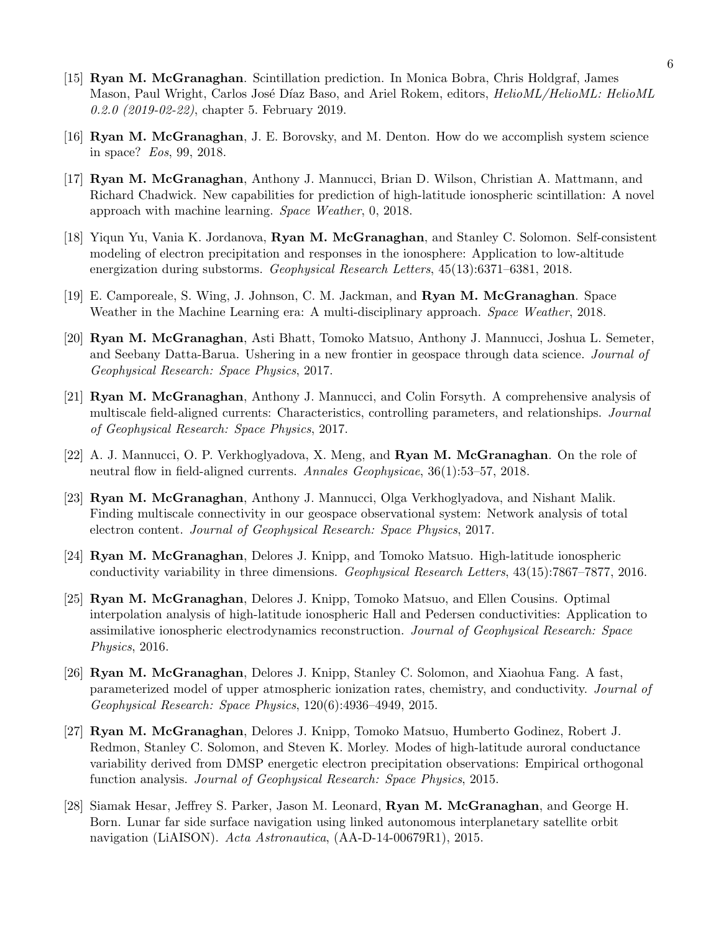- [15] Ryan M. McGranaghan. Scintillation prediction. In Monica Bobra, Chris Holdgraf, James Mason, Paul Wright, Carlos José Díaz Baso, and Ariel Rokem, editors, *HelioML/HelioML: HelioML* 0.2.0 (2019-02-22), chapter 5. February 2019.
- [16] Ryan M. McGranaghan, J. E. Borovsky, and M. Denton. How do we accomplish system science in space? Eos, 99, 2018.
- [17] Ryan M. McGranaghan, Anthony J. Mannucci, Brian D. Wilson, Christian A. Mattmann, and Richard Chadwick. New capabilities for prediction of high-latitude ionospheric scintillation: A novel approach with machine learning. Space Weather, 0, 2018.
- [18] Yiqun Yu, Vania K. Jordanova, Ryan M. McGranaghan, and Stanley C. Solomon. Self-consistent modeling of electron precipitation and responses in the ionosphere: Application to low-altitude energization during substorms. Geophysical Research Letters, 45(13):6371–6381, 2018.
- [19] E. Camporeale, S. Wing, J. Johnson, C. M. Jackman, and Ryan M. McGranaghan. Space Weather in the Machine Learning era: A multi-disciplinary approach. Space Weather, 2018.
- [20] Ryan M. McGranaghan, Asti Bhatt, Tomoko Matsuo, Anthony J. Mannucci, Joshua L. Semeter, and Seebany Datta-Barua. Ushering in a new frontier in geospace through data science. Journal of Geophysical Research: Space Physics, 2017.
- [21] Ryan M. McGranaghan, Anthony J. Mannucci, and Colin Forsyth. A comprehensive analysis of multiscale field-aligned currents: Characteristics, controlling parameters, and relationships. Journal of Geophysical Research: Space Physics, 2017.
- [22] A. J. Mannucci, O. P. Verkhoglyadova, X. Meng, and **Ryan M. McGranaghan**. On the role of neutral flow in field-aligned currents. Annales Geophysicae, 36(1):53–57, 2018.
- [23] Ryan M. McGranaghan, Anthony J. Mannucci, Olga Verkhoglyadova, and Nishant Malik. Finding multiscale connectivity in our geospace observational system: Network analysis of total electron content. Journal of Geophysical Research: Space Physics, 2017.
- [24] Ryan M. McGranaghan, Delores J. Knipp, and Tomoko Matsuo. High-latitude ionospheric conductivity variability in three dimensions. Geophysical Research Letters, 43(15):7867–7877, 2016.
- [25] Ryan M. McGranaghan, Delores J. Knipp, Tomoko Matsuo, and Ellen Cousins. Optimal interpolation analysis of high-latitude ionospheric Hall and Pedersen conductivities: Application to assimilative ionospheric electrodynamics reconstruction. Journal of Geophysical Research: Space Physics, 2016.
- [26] Ryan M. McGranaghan, Delores J. Knipp, Stanley C. Solomon, and Xiaohua Fang. A fast, parameterized model of upper atmospheric ionization rates, chemistry, and conductivity. Journal of Geophysical Research: Space Physics, 120(6):4936–4949, 2015.
- [27] Ryan M. McGranaghan, Delores J. Knipp, Tomoko Matsuo, Humberto Godinez, Robert J. Redmon, Stanley C. Solomon, and Steven K. Morley. Modes of high-latitude auroral conductance variability derived from DMSP energetic electron precipitation observations: Empirical orthogonal function analysis. Journal of Geophysical Research: Space Physics, 2015.
- [28] Siamak Hesar, Jeffrey S. Parker, Jason M. Leonard, Ryan M. McGranaghan, and George H. Born. Lunar far side surface navigation using linked autonomous interplanetary satellite orbit navigation (LiAISON). Acta Astronautica, (AA-D-14-00679R1), 2015.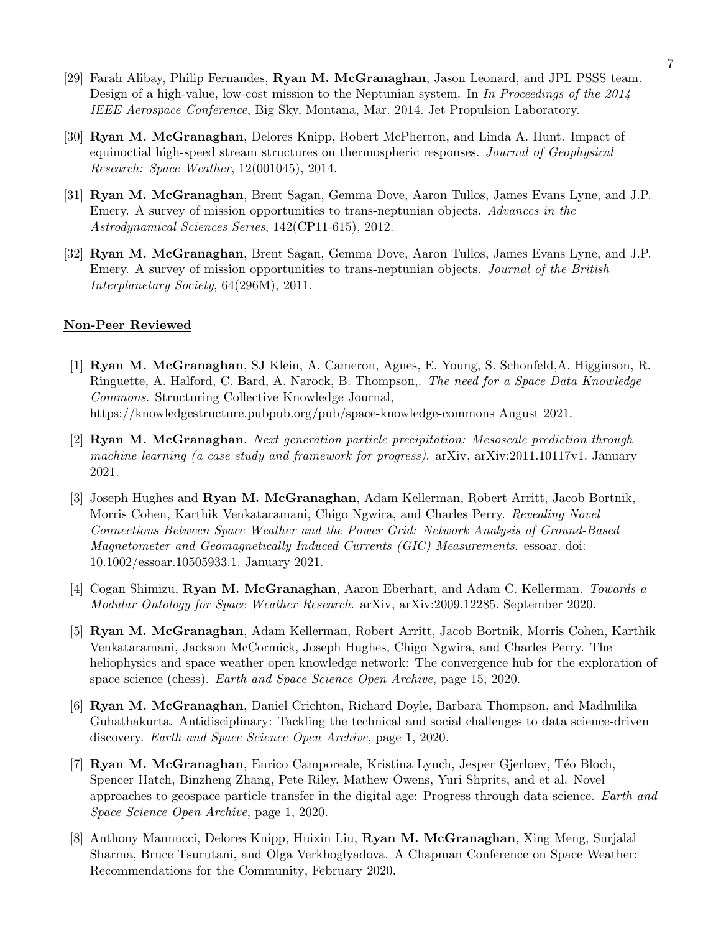- [29] Farah Alibay, Philip Fernandes, Ryan M. McGranaghan, Jason Leonard, and JPL PSSS team. Design of a high-value, low-cost mission to the Neptunian system. In In Proceedings of the 2014 IEEE Aerospace Conference, Big Sky, Montana, Mar. 2014. Jet Propulsion Laboratory.
- [30] Ryan M. McGranaghan, Delores Knipp, Robert McPherron, and Linda A. Hunt. Impact of equinoctial high-speed stream structures on thermospheric responses. Journal of Geophysical Research: Space Weather, 12(001045), 2014.
- [31] Ryan M. McGranaghan, Brent Sagan, Gemma Dove, Aaron Tullos, James Evans Lyne, and J.P. Emery. A survey of mission opportunities to trans-neptunian objects. Advances in the Astrodynamical Sciences Series, 142(CP11-615), 2012.
- [32] Ryan M. McGranaghan, Brent Sagan, Gemma Dove, Aaron Tullos, James Evans Lyne, and J.P. Emery. A survey of mission opportunities to trans-neptunian objects. Journal of the British Interplanetary Society, 64(296M), 2011.

#### Non-Peer Reviewed

- [1] Ryan M. McGranaghan, SJ Klein, A. Cameron, Agnes, E. Young, S. Schonfeld,A. Higginson, R. Ringuette, A. Halford, C. Bard, A. Narock, B. Thompson,. The need for a Space Data Knowledge Commons. Structuring Collective Knowledge Journal, https://knowledgestructure.pubpub.org/pub/space-knowledge-commons August 2021.
- [2] Ryan M. McGranaghan. Next generation particle precipitation: Mesoscale prediction through machine learning (a case study and framework for progress). arXiv, arXiv:2011.10117v1. January 2021.
- [3] Joseph Hughes and Ryan M. McGranaghan, Adam Kellerman, Robert Arritt, Jacob Bortnik, Morris Cohen, Karthik Venkataramani, Chigo Ngwira, and Charles Perry. Revealing Novel Connections Between Space Weather and the Power Grid: Network Analysis of Ground-Based Magnetometer and Geomagnetically Induced Currents (GIC) Measurements. essoar. doi: 10.1002/essoar.10505933.1. January 2021.
- [4] Cogan Shimizu, Ryan M. McGranaghan, Aaron Eberhart, and Adam C. Kellerman. Towards a Modular Ontology for Space Weather Research. arXiv, arXiv:2009.12285. September 2020.
- [5] Ryan M. McGranaghan, Adam Kellerman, Robert Arritt, Jacob Bortnik, Morris Cohen, Karthik Venkataramani, Jackson McCormick, Joseph Hughes, Chigo Ngwira, and Charles Perry. The heliophysics and space weather open knowledge network: The convergence hub for the exploration of space science (chess). Earth and Space Science Open Archive, page 15, 2020.
- [6] Ryan M. McGranaghan, Daniel Crichton, Richard Doyle, Barbara Thompson, and Madhulika Guhathakurta. Antidisciplinary: Tackling the technical and social challenges to data science-driven discovery. Earth and Space Science Open Archive, page 1, 2020.
- [7] Ryan M. McGranaghan, Enrico Camporeale, Kristina Lynch, Jesper Gjerloev, Téo Bloch, Spencer Hatch, Binzheng Zhang, Pete Riley, Mathew Owens, Yuri Shprits, and et al. Novel approaches to geospace particle transfer in the digital age: Progress through data science. Earth and Space Science Open Archive, page 1, 2020.
- [8] Anthony Mannucci, Delores Knipp, Huixin Liu, Ryan M. McGranaghan, Xing Meng, Surjalal Sharma, Bruce Tsurutani, and Olga Verkhoglyadova. A Chapman Conference on Space Weather: Recommendations for the Community, February 2020.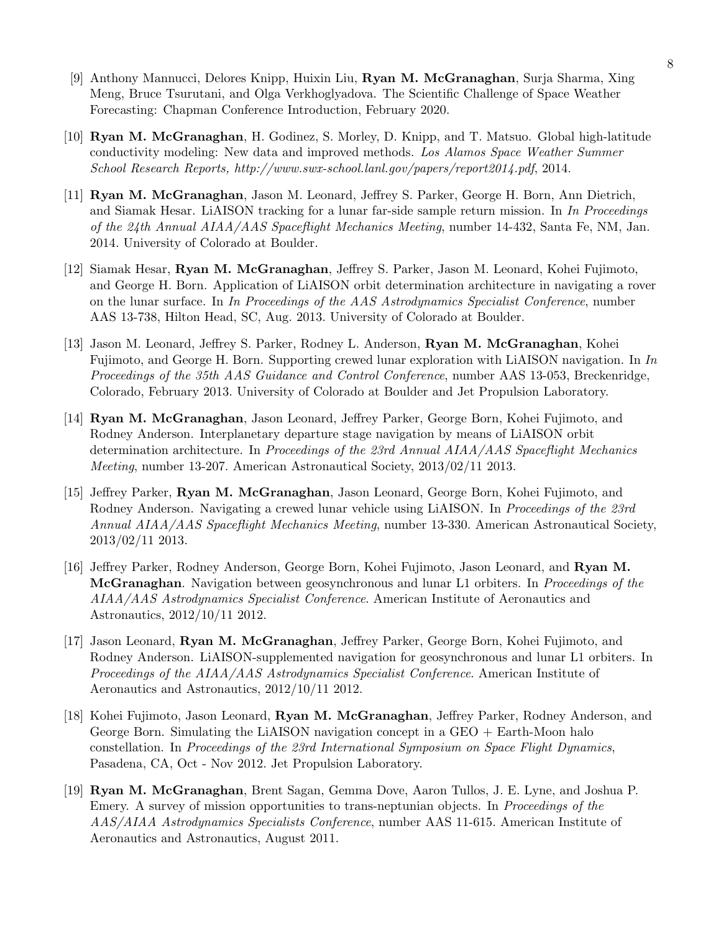- [9] Anthony Mannucci, Delores Knipp, Huixin Liu, Ryan M. McGranaghan, Surja Sharma, Xing Meng, Bruce Tsurutani, and Olga Verkhoglyadova. The Scientific Challenge of Space Weather Forecasting: Chapman Conference Introduction, February 2020.
- [10] Ryan M. McGranaghan, H. Godinez, S. Morley, D. Knipp, and T. Matsuo. Global high-latitude conductivity modeling: New data and improved methods. Los Alamos Space Weather Summer School Research Reports, http://www.swx-school.lanl.gov/papers/report2014.pdf, 2014.
- [11] Ryan M. McGranaghan, Jason M. Leonard, Jeffrey S. Parker, George H. Born, Ann Dietrich, and Siamak Hesar. LiAISON tracking for a lunar far-side sample return mission. In In Proceedings of the 24th Annual AIAA/AAS Spaceflight Mechanics Meeting, number 14-432, Santa Fe, NM, Jan. 2014. University of Colorado at Boulder.
- [12] Siamak Hesar, Ryan M. McGranaghan, Jeffrey S. Parker, Jason M. Leonard, Kohei Fujimoto, and George H. Born. Application of LiAISON orbit determination architecture in navigating a rover on the lunar surface. In In Proceedings of the AAS Astrodynamics Specialist Conference, number AAS 13-738, Hilton Head, SC, Aug. 2013. University of Colorado at Boulder.
- [13] Jason M. Leonard, Jeffrey S. Parker, Rodney L. Anderson, Ryan M. McGranaghan, Kohei Fujimoto, and George H. Born. Supporting crewed lunar exploration with LiAISON navigation. In In Proceedings of the 35th AAS Guidance and Control Conference, number AAS 13-053, Breckenridge, Colorado, February 2013. University of Colorado at Boulder and Jet Propulsion Laboratory.
- [14] Ryan M. McGranaghan, Jason Leonard, Jeffrey Parker, George Born, Kohei Fujimoto, and Rodney Anderson. Interplanetary departure stage navigation by means of LiAISON orbit determination architecture. In Proceedings of the 23rd Annual AIAA/AAS Spaceflight Mechanics Meeting, number 13-207. American Astronautical Society, 2013/02/11 2013.
- [15] Jeffrey Parker, Ryan M. McGranaghan, Jason Leonard, George Born, Kohei Fujimoto, and Rodney Anderson. Navigating a crewed lunar vehicle using LiAISON. In Proceedings of the 23rd Annual AIAA/AAS Spaceflight Mechanics Meeting, number 13-330. American Astronautical Society, 2013/02/11 2013.
- [16] Jeffrey Parker, Rodney Anderson, George Born, Kohei Fujimoto, Jason Leonard, and Ryan M. McGranaghan. Navigation between geosynchronous and lunar L1 orbiters. In Proceedings of the AIAA/AAS Astrodynamics Specialist Conference. American Institute of Aeronautics and Astronautics, 2012/10/11 2012.
- [17] Jason Leonard, Ryan M. McGranaghan, Jeffrey Parker, George Born, Kohei Fujimoto, and Rodney Anderson. LiAISON-supplemented navigation for geosynchronous and lunar L1 orbiters. In Proceedings of the AIAA/AAS Astrodynamics Specialist Conference. American Institute of Aeronautics and Astronautics, 2012/10/11 2012.
- [18] Kohei Fujimoto, Jason Leonard, Ryan M. McGranaghan, Jeffrey Parker, Rodney Anderson, and George Born. Simulating the LiAISON navigation concept in a GEO + Earth-Moon halo constellation. In Proceedings of the 23rd International Symposium on Space Flight Dynamics, Pasadena, CA, Oct - Nov 2012. Jet Propulsion Laboratory.
- [19] Ryan M. McGranaghan, Brent Sagan, Gemma Dove, Aaron Tullos, J. E. Lyne, and Joshua P. Emery. A survey of mission opportunities to trans-neptunian objects. In Proceedings of the AAS/AIAA Astrodynamics Specialists Conference, number AAS 11-615. American Institute of Aeronautics and Astronautics, August 2011.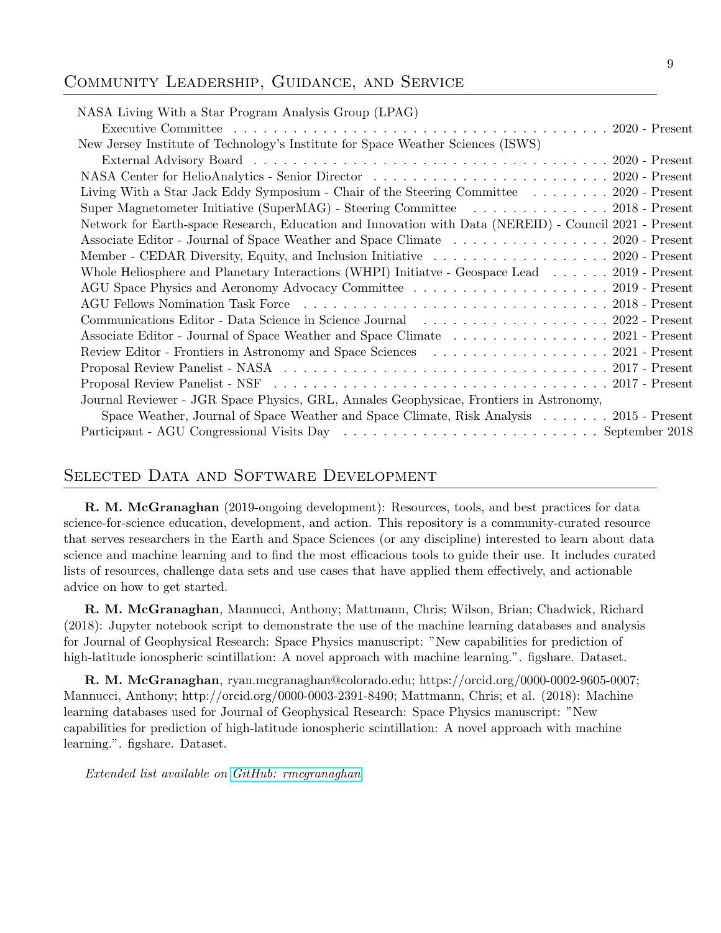#### Community Leadership, Guidance, and Service

| NASA Living With a Star Program Analysis Group (LPAG)                                                                                                                                                                          |  |
|--------------------------------------------------------------------------------------------------------------------------------------------------------------------------------------------------------------------------------|--|
|                                                                                                                                                                                                                                |  |
| New Jersey Institute of Technology's Institute for Space Weather Sciences (ISWS)                                                                                                                                               |  |
|                                                                                                                                                                                                                                |  |
|                                                                                                                                                                                                                                |  |
| Living With a Star Jack Eddy Symposium - Chair of the Steering Committee 2020 - Present                                                                                                                                        |  |
| Super Magnetometer Initiative (SuperMAG) - Steering Committee 2018 - Present                                                                                                                                                   |  |
| Network for Earth-space Research, Education and Innovation with Data (NEREID) - Council 2021 - Present                                                                                                                         |  |
| Associate Editor - Journal of Space Weather and Space Climate 2020 - Present                                                                                                                                                   |  |
| Member - CEDAR Diversity, Equity, and Inclusion Initiative 2020 - Present                                                                                                                                                      |  |
| Whole Heliosphere and Planetary Interactions (WHPI) Initiatve - Geospace Lead 2019 - Present                                                                                                                                   |  |
|                                                                                                                                                                                                                                |  |
|                                                                                                                                                                                                                                |  |
| Communications Editor - Data Science in Science Journal (Changel and Communications Editor - Data Science in Science Journal (Changel and Changel and Communications Editor - Data Science in Science Journal (Changel and Cha |  |
| Associate Editor - Journal of Space Weather and Space Climate 2021 - Present                                                                                                                                                   |  |
| Review Editor - Frontiers in Astronomy and Space Sciences 2021 - Present                                                                                                                                                       |  |
|                                                                                                                                                                                                                                |  |
|                                                                                                                                                                                                                                |  |
| Journal Reviewer - JGR Space Physics, GRL, Annales Geophysicae, Frontiers in Astronomy,                                                                                                                                        |  |
| Space Weather, Journal of Space Weather and Space Climate, Risk Analysis 2015 - Present                                                                                                                                        |  |
|                                                                                                                                                                                                                                |  |

#### Selected Data and Software Development

R. M. McGranaghan (2019-ongoing development): Resources, tools, and best practices for data science-for-science education, development, and action. This repository is a community-curated resource that serves researchers in the Earth and Space Sciences (or any discipline) interested to learn about data science and machine learning and to find the most efficacious tools to guide their use. It includes curated lists of resources, challenge data sets and use cases that have applied them effectively, and actionable advice on how to get started.

R. M. McGranaghan, Mannucci, Anthony; Mattmann, Chris; Wilson, Brian; Chadwick, Richard (2018): Jupyter notebook script to demonstrate the use of the machine learning databases and analysis for Journal of Geophysical Research: Space Physics manuscript: "New capabilities for prediction of high-latitude ionospheric scintillation: A novel approach with machine learning.". figshare. Dataset.

R. M. McGranaghan, ryan.mcgranaghan@colorado.edu; https://orcid.org/0000-0002-9605-0007; Mannucci, Anthony; http://orcid.org/0000-0003-2391-8490; Mattmann, Chris; et al. (2018): Machine learning databases used for Journal of Geophysical Research: Space Physics manuscript: "New capabilities for prediction of high-latitude ionospheric scintillation: A novel approach with machine learning.". figshare. Dataset.

Extended list available on [GitHub: rmcgranaghan](https://github.com/rmcgranaghan)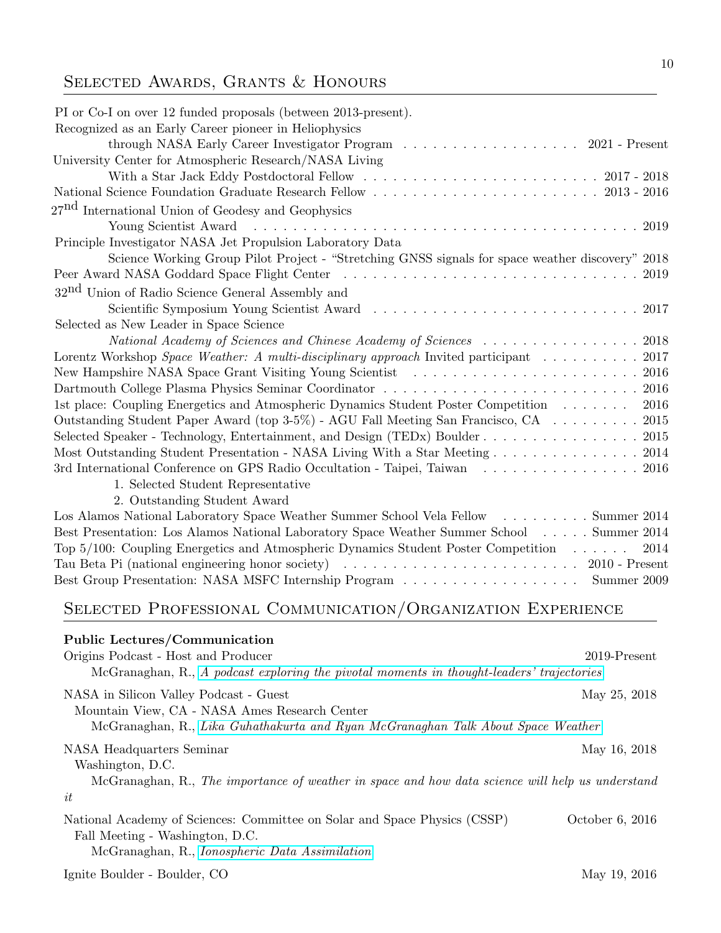# SELECTED AWARDS, GRANTS & HONOURS

| PI or Co-I on over 12 funded proposals (between 2013-present).                                               |                 |
|--------------------------------------------------------------------------------------------------------------|-----------------|
| Recognized as an Early Career pioneer in Heliophysics                                                        |                 |
| through NASA Early Career Investigator Program 2021 - Present                                                |                 |
| University Center for Atmospheric Research/NASA Living                                                       |                 |
|                                                                                                              |                 |
|                                                                                                              |                 |
| 27 <sup>nd</sup> International Union of Geodesy and Geophysics                                               |                 |
| Young Scientist Award                                                                                        | 2019            |
| Principle Investigator NASA Jet Propulsion Laboratory Data                                                   |                 |
| Science Working Group Pilot Project - "Stretching GNSS signals for space weather discovery" 2018             |                 |
|                                                                                                              | 2019            |
| 32 <sup>nd</sup> Union of Radio Science General Assembly and                                                 |                 |
|                                                                                                              |                 |
| Selected as New Leader in Space Science                                                                      |                 |
|                                                                                                              |                 |
| Lorentz Workshop Space Weather: A multi-disciplinary approach Invited participant                            | 2017            |
| New Hampshire NASA Space Grant Visiting Young Scientist (also contained a series of 2016)                    |                 |
|                                                                                                              |                 |
| 1st place: Coupling Energetics and Atmospheric Dynamics Student Poster Competition                           | 2016            |
| Outstanding Student Paper Award (top 3-5%) - AGU Fall Meeting San Francisco, CA                              | 2015            |
|                                                                                                              |                 |
| Most Outstanding Student Presentation - NASA Living With a Star Meeting 2014                                 |                 |
| 3rd International Conference on GPS Radio Occultation - Taipei, Taiwan 2016                                  |                 |
| 1. Selected Student Representative                                                                           |                 |
| 2. Outstanding Student Award                                                                                 |                 |
| Los Alamos National Laboratory Space Weather Summer School Vela Fellow Summer 2014                           |                 |
| Best Presentation: Los Alamos National Laboratory Space Weather Summer School Summer 2014                    |                 |
| Top $5/100$ : Coupling Energetics and Atmospheric Dynamics Student Poster Competition                        | 2014            |
|                                                                                                              |                 |
| Best Group Presentation: NASA MSFC Internship Program Summer 2009                                            |                 |
| SELECTED PROFESSIONAL COMMUNICATION/ORGANIZATION EXPERIENCE                                                  |                 |
| Public Lectures/Communication                                                                                |                 |
| Origins Podcast - Host and Producer                                                                          | 2019-Present    |
| McGranaghan, R., A podcast exploring the pivotal moments in thought-leaders' trajectories                    |                 |
|                                                                                                              |                 |
| NASA in Silicon Valley Podcast - Guest                                                                       | May 25, 2018    |
| Mountain View, CA - NASA Ames Research Center                                                                |                 |
| McGranaghan, R., Lika Guhathakurta and Ryan McGranaghan Talk About Space Weather                             |                 |
| NASA Headquarters Seminar                                                                                    | May 16, 2018    |
| Washington, D.C.                                                                                             |                 |
| McGranaghan, R., The importance of weather in space and how data science will help us understand             |                 |
| it                                                                                                           |                 |
|                                                                                                              |                 |
| National Academy of Sciences: Committee on Solar and Space Physics (CSSP)<br>Fall Meeting - Washington, D.C. | October 6, 2016 |
| McGranaghan, R., <i>Ionospheric Data Assimilation</i>                                                        |                 |
|                                                                                                              |                 |
| Ignite Boulder - Boulder, CO                                                                                 | May 19, 2016    |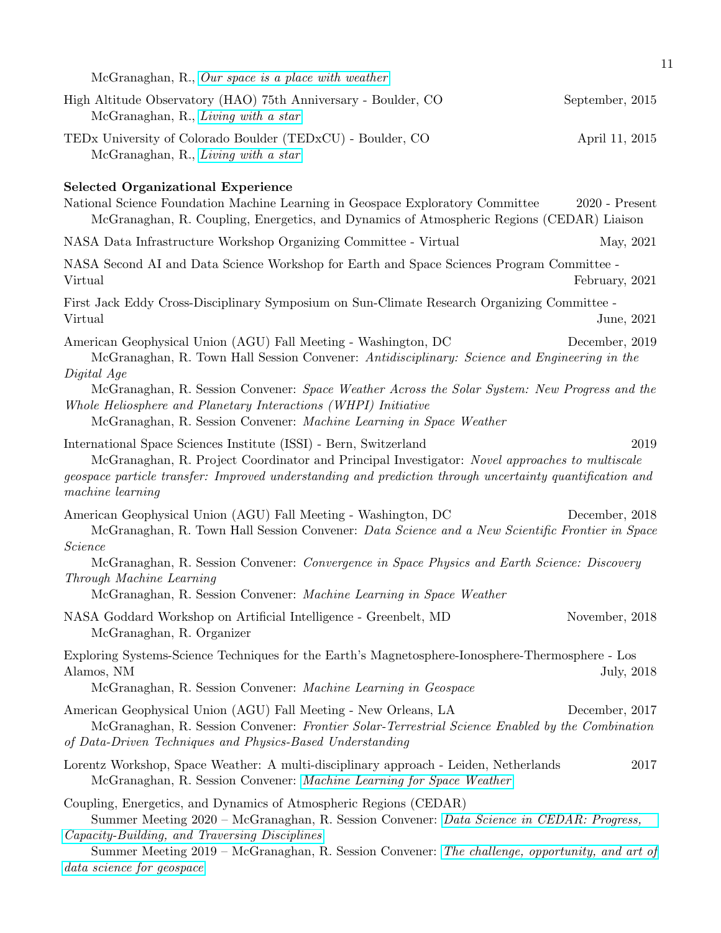|                                                                                                                                                                                                                                                                                                                                               | 11               |
|-----------------------------------------------------------------------------------------------------------------------------------------------------------------------------------------------------------------------------------------------------------------------------------------------------------------------------------------------|------------------|
| McGranaghan, R., Our space is a place with weather                                                                                                                                                                                                                                                                                            |                  |
| High Altitude Observatory (HAO) 75th Anniversary - Boulder, CO<br>McGranaghan, R., Living with a star                                                                                                                                                                                                                                         | September, 2015  |
| TEDx University of Colorado Boulder (TEDxCU) - Boulder, CO<br>McGranaghan, R., Living with a star                                                                                                                                                                                                                                             | April 11, 2015   |
| <b>Selected Organizational Experience</b>                                                                                                                                                                                                                                                                                                     |                  |
| National Science Foundation Machine Learning in Geospace Exploratory Committee<br>McGranaghan, R. Coupling, Energetics, and Dynamics of Atmospheric Regions (CEDAR) Liaison                                                                                                                                                                   | $2020$ - Present |
| NASA Data Infrastructure Workshop Organizing Committee - Virtual                                                                                                                                                                                                                                                                              | May, 2021        |
| NASA Second AI and Data Science Workshop for Earth and Space Sciences Program Committee -<br>Virtual                                                                                                                                                                                                                                          | February, 2021   |
| First Jack Eddy Cross-Disciplinary Symposium on Sun-Climate Research Organizing Committee -<br>Virtual                                                                                                                                                                                                                                        | June, 2021       |
| American Geophysical Union (AGU) Fall Meeting - Washington, DC<br>McGranaghan, R. Town Hall Session Convener: Antidisciplinary: Science and Engineering in the                                                                                                                                                                                | December, 2019   |
| Digital Age<br>McGranaghan, R. Session Convener: Space Weather Across the Solar System: New Progress and the<br>Whole Heliosphere and Planetary Interactions (WHPI) Initiative<br>McGranaghan, R. Session Convener: Machine Learning in Space Weather                                                                                         |                  |
| International Space Sciences Institute (ISSI) - Bern, Switzerland<br>McGranaghan, R. Project Coordinator and Principal Investigator: Novel approaches to multiscale<br>geospace particle transfer: Improved understanding and prediction through uncertainty quantification and<br>machine learning                                           | 2019             |
| American Geophysical Union (AGU) Fall Meeting - Washington, DC<br>McGranaghan, R. Town Hall Session Convener: Data Science and a New Scientific Frontier in Space<br><i>Science</i>                                                                                                                                                           | December, 2018   |
| McGranaghan, R. Session Convener: Convergence in Space Physics and Earth Science: Discovery<br>Through Machine Learning<br>McGranaghan, R. Session Convener: Machine Learning in Space Weather                                                                                                                                                |                  |
| NASA Goddard Workshop on Artificial Intelligence - Greenbelt, MD<br>McGranaghan, R. Organizer                                                                                                                                                                                                                                                 | November, 2018   |
| Exploring Systems-Science Techniques for the Earth's Magnetosphere-Ionosphere-Thermosphere - Los<br>Alamos, NM<br>McGranaghan, R. Session Convener: Machine Learning in Geospace                                                                                                                                                              | July, 2018       |
| American Geophysical Union (AGU) Fall Meeting - New Orleans, LA<br>McGranaghan, R. Session Convener: Frontier Solar-Terrestrial Science Enabled by the Combination<br>of Data-Driven Techniques and Physics-Based Understanding                                                                                                               | December, 2017   |
| Lorentz Workshop, Space Weather: A multi-disciplinary approach - Leiden, Netherlands<br>McGranaghan, R. Session Convener: Machine Learning for Space Weather                                                                                                                                                                                  | 2017             |
| Coupling, Energetics, and Dynamics of Atmospheric Regions (CEDAR)<br>Summer Meeting 2020 - McGranaghan, R. Session Convener: Data Science in CEDAR: Progress,<br>Capacity-Building, and Traversing Disciplines<br>Summer Meeting 2019 – McGranaghan, R. Session Convener: The challenge, opportunity, and art of<br>data science for geospace |                  |
|                                                                                                                                                                                                                                                                                                                                               |                  |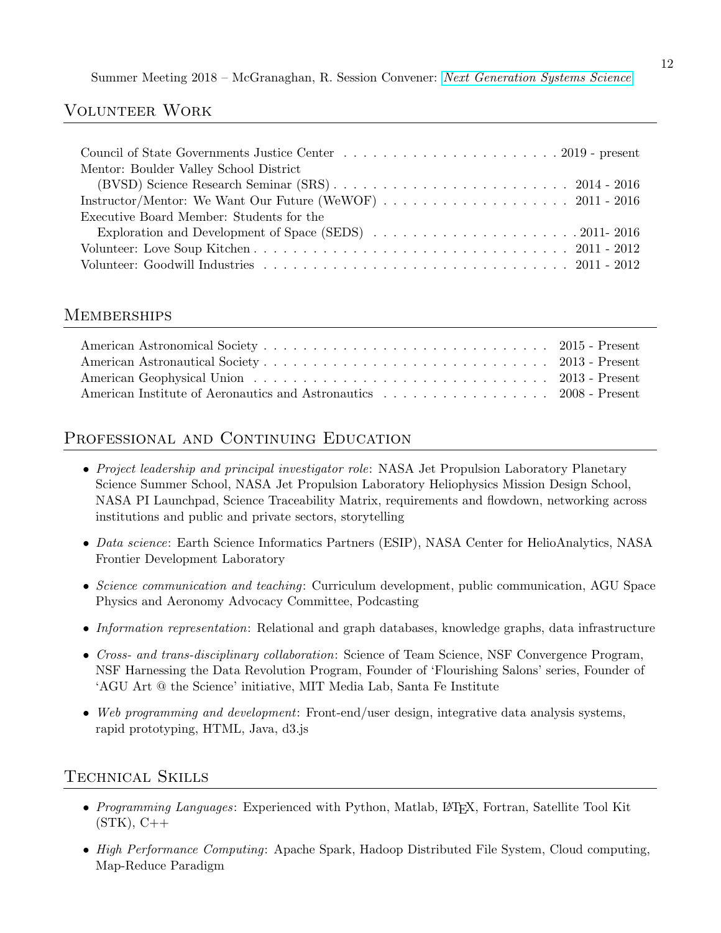Summer Meeting 2018 – McGranaghan, R. Session Convener: [Next Generation Systems Science](http://cedarweb.vsp.ucar.edu/wiki/index.php/2017_Workshop:Next_generation_systems_science)

### Volunteer Work

| Mentor: Boulder Valley School District   |
|------------------------------------------|
|                                          |
|                                          |
| Executive Board Member: Students for the |
|                                          |
|                                          |
|                                          |

#### Memberships

# PROFESSIONAL AND CONTINUING EDUCATION

- Project leadership and principal investigator role: NASA Jet Propulsion Laboratory Planetary Science Summer School, NASA Jet Propulsion Laboratory Heliophysics Mission Design School, NASA PI Launchpad, Science Traceability Matrix, requirements and flowdown, networking across institutions and public and private sectors, storytelling
- Data science: Earth Science Informatics Partners (ESIP), NASA Center for HelioAnalytics, NASA Frontier Development Laboratory
- Science communication and teaching: Curriculum development, public communication, AGU Space Physics and Aeronomy Advocacy Committee, Podcasting
- Information representation: Relational and graph databases, knowledge graphs, data infrastructure
- Cross- and trans-disciplinary collaboration: Science of Team Science, NSF Convergence Program, NSF Harnessing the Data Revolution Program, Founder of 'Flourishing Salons' series, Founder of 'AGU Art @ the Science' initiative, MIT Media Lab, Santa Fe Institute
- Web programming and development: Front-end/user design, integrative data analysis systems, rapid prototyping, HTML, Java, d3.js

# Technical Skills

- Programming Languages: Experienced with Python, Matlab, L<sup>AT</sup>FX, Fortran, Satellite Tool Kit  $(STK)$ ,  $C++$
- High Performance Computing: Apache Spark, Hadoop Distributed File System, Cloud computing, Map-Reduce Paradigm